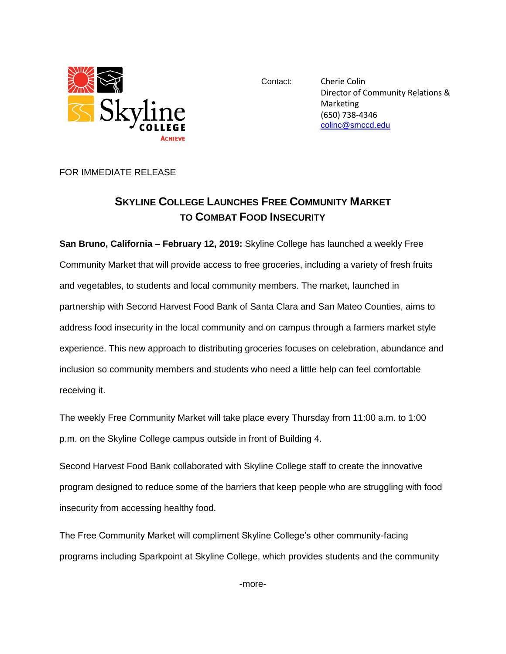

Contact: Cherie Colin Director of Community Relations & Marketing (650) 738-4346 [colinc@smccd.edu](mailto:colinc@smccd.edu)

FOR IMMEDIATE RELEASE

## **SKYLINE COLLEGE LAUNCHES FREE COMMUNITY MARKET TO COMBAT FOOD INSECURITY**

**San Bruno, California – February 12, 2019:** Skyline College has launched a weekly Free Community Market that will provide access to free groceries, including a variety of fresh fruits and vegetables, to students and local community members. The market, launched in partnership with Second Harvest Food Bank of Santa Clara and San Mateo Counties, aims to address food insecurity in the local community and on campus through a farmers market style experience. This new approach to distributing groceries focuses on celebration, abundance and inclusion so community members and students who need a little help can feel comfortable receiving it.

The weekly Free Community Market will take place every Thursday from 11:00 a.m. to 1:00 p.m. on the Skyline College campus outside in front of Building 4.

Second Harvest Food Bank collaborated with Skyline College staff to create the innovative program designed to reduce some of the barriers that keep people who are struggling with food insecurity from accessing healthy food.

The Free Community Market will compliment Skyline College's other community-facing programs including Sparkpoint at Skyline College, which provides students and the community

-more-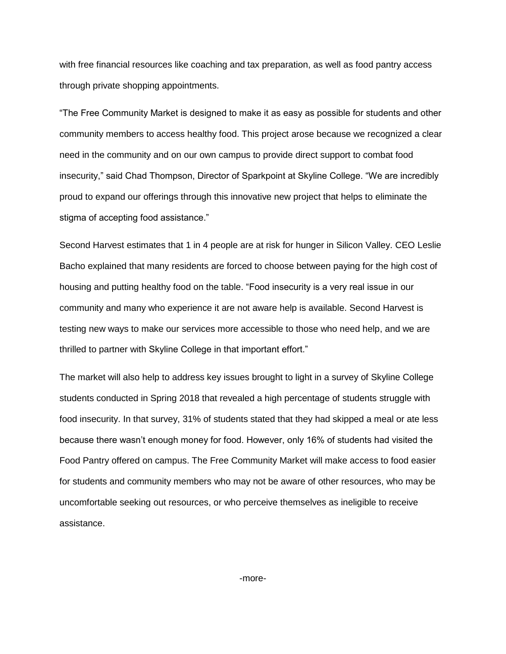with free financial resources like coaching and tax preparation, as well as food pantry access through private shopping appointments.

"The Free Community Market is designed to make it as easy as possible for students and other community members to access healthy food. This project arose because we recognized a clear need in the community and on our own campus to provide direct support to combat food insecurity," said Chad Thompson, Director of Sparkpoint at Skyline College. "We are incredibly proud to expand our offerings through this innovative new project that helps to eliminate the stigma of accepting food assistance."

Second Harvest estimates that 1 in 4 people are at risk for hunger in Silicon Valley. CEO Leslie Bacho explained that many residents are forced to choose between paying for the high cost of housing and putting healthy food on the table. "Food insecurity is a very real issue in our community and many who experience it are not aware help is available. Second Harvest is testing new ways to make our services more accessible to those who need help, and we are thrilled to partner with Skyline College in that important effort."

The market will also help to address key issues brought to light in a survey of Skyline College students conducted in Spring 2018 that revealed a high percentage of students struggle with food insecurity. In that survey, 31% of students stated that they had skipped a meal or ate less because there wasn't enough money for food. However, only 16% of students had visited the Food Pantry offered on campus. The Free Community Market will make access to food easier for students and community members who may not be aware of other resources, who may be uncomfortable seeking out resources, or who perceive themselves as ineligible to receive assistance.

-more-